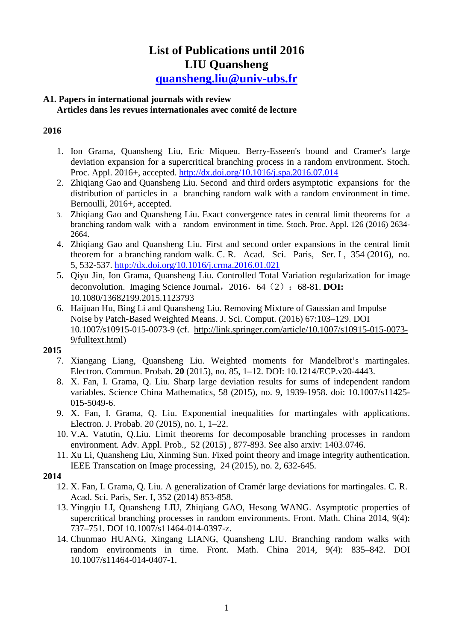# **List of Publications until 2016 LIU Quansheng quansheng.liu@univ-ubs.fr**

# **A1. Papers in international journals with review**

#### **Articles dans les revues internationales avec comité de lecture**

## **2016**

- 1. Ion Grama, Quansheng Liu, Eric Miqueu. Berry-Esseen's bound and Cramer's large deviation expansion for a supercritical branching process in a random environment. Stoch. Proc. Appl. 2016+, accepted. http://dx.doi.org/10.1016/j.spa.2016.07.014
- 2. Zhiqiang Gao and Quansheng Liu. Second and third orders asymptotic expansions for the distribution of particles in a branching random walk with a random environment in time. Bernoulli, 2016+, accepted.
- 3. Zhiqiang Gao and Quansheng Liu. Exact convergence rates in central limit theorems for a branching random walk with a random environment in time. Stoch. Proc. Appl. 126 (2016) 2634- 2664.
- 4. Zhiqiang Gao and Quansheng Liu. First and second order expansions in the central limit theorem for a branching random walk. C. R. Acad. Sci. Paris, Ser. I, 354 (2016), no. 5, 532-537. http://dx.doi.org/10.1016/j.crma.2016.01.021
- 5. Qiyu Jin, Ion Grama, Quansheng Liu. Controlled Total Variation regularization for image deconvolution. Imaging Science Journal, 2016, 64 (2): 68-81. **DOI:** 10.1080/13682199.2015.1123793
- 6. Haijuan Hu, Bing Li and Quansheng Liu. Removing Mixture of Gaussian and Impulse Noise by Patch-Based Weighted Means. J. Sci. Comput. (2016) 67:103–129. DOI 10.1007/s10915-015-0073-9 (cf. http://link.springer.com/article/10.1007/s10915-015-0073- 9/fulltext.html)

# **2015**

- 7. Xiangang Liang, Quansheng Liu. Weighted moments for Mandelbrot's martingales. Electron. Commun. Probab. **20** (2015), no. 85, 1–12. DOI: 10.1214/ECP.v20-4443.
- 8. X. Fan, I. Grama, Q. Liu. Sharp large deviation results for sums of independent random variables. Science China Mathematics, 58 (2015), no. 9, 1939-1958. doi: 10.1007/s11425- 015-5049-6.
- 9. X. Fan, I. Grama, Q. Liu. Exponential inequalities for martingales with applications. Electron. J. Probab. 20 (2015), no. 1, 1–22.
- 10. V.A. Vatutin, Q.Liu. Limit theorems for decomposable branching processes in random environment. Adv. Appl. Prob., 52 (2015) , 877-893. See also arxiv: 1403.0746.
- 11. Xu Li, Quansheng Liu, Xinming Sun. Fixed point theory and image integrity authentication. IEEE Transcation on Image processing, 24 (2015), no. 2, 632-645.

# **2014**

- 12. X. Fan, I. Grama, Q. Liu. A generalization of Cramér large deviations for martingales. C. R. Acad. Sci. Paris, Ser. I, 352 (2014) 853-858.
- 13. Yingqiu LI, Quansheng LIU, Zhiqiang GAO, Hesong WANG. Asymptotic properties of supercritical branching processes in random environments. Front. Math. China 2014, 9(4): 737–751. DOI 10.1007/s11464-014-0397-z.
- 14. Chunmao HUANG, Xingang LIANG, Quansheng LIU. Branching random walks with random environments in time. Front. Math. China 2014, 9(4): 835–842. DOI 10.1007/s11464-014-0407-1.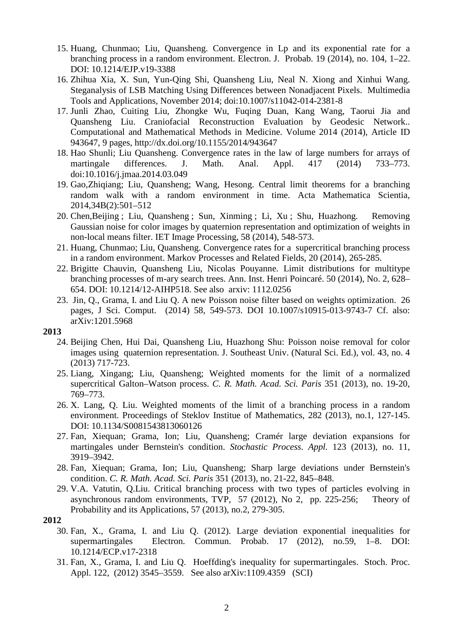- 15. Huang, Chunmao; Liu, Quansheng. Convergence in Lp and its exponential rate for a branching process in a random environment. Electron. J. Probab. 19 (2014), no. 104, 1–22. DOI: 10.1214/EJP.v19-3388
- 16. Zhihua Xia, X. Sun, Yun-Qing Shi, Quansheng Liu, Neal N. Xiong and Xinhui Wang. Steganalysis of LSB Matching Using Differences between Nonadjacent Pixels. Multimedia Tools and Applications, November 2014; doi:10.1007/s11042-014-2381-8
- 17. Junli Zhao, Cuiting Liu, Zhongke Wu, Fuqing Duan, Kang Wang, Taorui Jia and Quansheng Liu. Craniofacial Reconstruction Evaluation by Geodesic Network.. Computational and Mathematical Methods in Medicine. Volume 2014 (2014), Article ID 943647, 9 pages, http://dx.doi.org/10.1155/2014/943647
- 18. Hao Shunli; Liu Quansheng. Convergence rates in the law of large numbers for arrays of martingale differences. J. Math. Anal. Appl. 417 (2014) 733–773. doi:10.1016/j.jmaa.2014.03.049
- 19. Gao,Zhiqiang; Liu, Quansheng; Wang, Hesong. Central limit theorems for a branching random walk with a random environment in time. Acta Mathematica Scientia, 2014,34B(2):501–512
- 20. Chen,Beijing ; Liu, Quansheng ; Sun, Xinming ; Li, Xu ; Shu, Huazhong. Removing Gaussian noise for color images by quaternion representation and optimization of weights in non-local means filter. IET Image Processing, 58 (2014), 548-573.
- 21. Huang, Chunmao; Liu, Quansheng. Convergence rates for a supercritical branching process in a random environment. Markov Processes and Related Fields, 20 (2014), 265-285.
- 22. Brigitte Chauvin, Quansheng Liu, Nicolas Pouyanne. Limit distributions for multitype branching processes of m-ary search trees. Ann. Inst. Henri Poincaré. 50 (2014), No. 2, 628– 654. DOI: 10.1214/12-AIHP518. See also arxiv: 1112.0256
- 23. Jin, Q., Grama, I. and Liu Q. A new Poisson noise filter based on weights optimization. 26 pages, J Sci. Comput. (2014) 58, 549-573. DOI 10.1007/s10915-013-9743-7 Cf. also: arXiv:1201.5968

#### **2013**

- 24. Beijing Chen, Hui Dai, Quansheng Liu, Huazhong Shu: Poisson noise removal for color images using quaternion representation. J. Southeast Univ. (Natural Sci. Ed.), vol. 43, no. 4 (2013) 717-723.
- 25. Liang, Xingang; Liu, Quansheng; Weighted moments for the limit of a normalized supercritical Galton–Watson process. *C. R. Math. Acad. Sci. Paris* 351 (2013), no. 19-20, 769–773.
- 26. X. Lang, Q. Liu. Weighted moments of the limit of a branching process in a random environment. Proceedings of Steklov Institue of Mathematics, 282 (2013), no.1, 127-145. DOI: 10.1134/S0081543813060126
- 27. Fan, Xiequan; Grama, Ion; Liu, Quansheng; Cramér large deviation expansions for martingales under Bernstein's condition. *Stochastic Process. Appl.* 123 (2013), no. 11, 3919–3942.
- 28. Fan, Xiequan; Grama, Ion; Liu, Quansheng; Sharp large deviations under Bernstein's condition. *C. R. Math. Acad. Sci. Paris* 351 (2013), no. 21-22, 845–848.
- 29. V.A. Vatutin, Q.Liu. Critical branching process with two types of particles evolving in asynchronous random environments, TVP, 57 (2012), No 2, pp. 225-256; Theory of Probability and its Applications, 57 (2013), no.2, 279-305.
- **2012** 
	- 30. Fan, X., Grama, I. and Liu Q. (2012). Large deviation exponential inequalities for supermartingales Electron. Commun. Probab. 17 (2012), no.59, 1–8. DOI: 10.1214/ECP.v17-2318
	- 31. Fan, X., Grama, I. and Liu Q. Hoeffding's inequality for supermartingales. Stoch. Proc. Appl. 122, (2012) 3545–3559. See also arXiv:1109.4359 (SCI)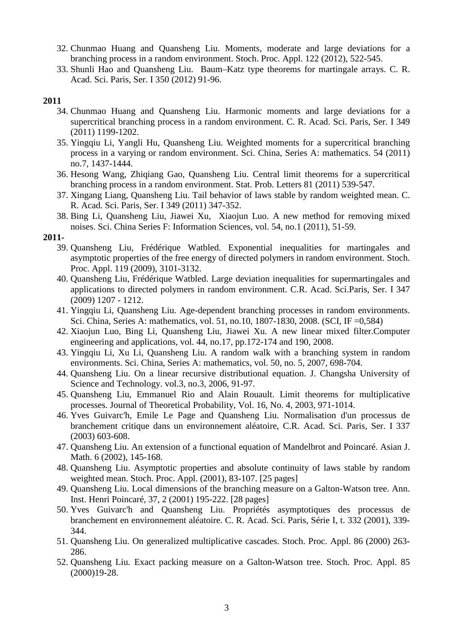- 32. Chunmao Huang and Quansheng Liu. Moments, moderate and large deviations for a branching process in a random environment. Stoch. Proc. Appl. 122 (2012), 522-545.
- 33. Shunli Hao and Quansheng Liu. Baum–Katz type theorems for martingale arrays. C. R. Acad. Sci. Paris, Ser. I 350 (2012) 91-96.

## **2011**

- 34. Chunmao Huang and Quansheng Liu. Harmonic moments and large deviations for a supercritical branching process in a random environment. C. R. Acad. Sci. Paris, Ser. I 349 (2011) 1199-1202.
- 35. Yingqiu Li, Yangli Hu, Quansheng Liu. Weighted moments for a supercritical branching process in a varying or random environment. Sci. China, Series A: mathematics. 54 (2011) no.7, 1437-1444.
- 36. Hesong Wang, Zhiqiang Gao, Quansheng Liu. Central limit theorems for a supercritical branching process in a random environment. Stat. Prob. Letters 81 (2011) 539-547.
- 37. Xingang Liang, Quansheng Liu. Tail behavior of laws stable by random weighted mean. C. R. Acad. Sci. Paris, Ser. I 349 (2011) 347-352.
- 38. Bing Li, Quansheng Liu, Jiawei Xu, Xiaojun Luo. A new method for removing mixed noises. Sci. China Series F: Information Sciences, vol. 54, no.1 (2011), 51-59.

#### **2011-**

- 39. Quansheng Liu, Frédérique Watbled. Exponential inequalities for martingales and asymptotic properties of the free energy of directed polymers in random environment. Stoch. Proc. Appl. 119 (2009), 3101-3132.
- 40. Quansheng Liu, Frédérique Watbled. Large deviation inequalities for supermartingales and applications to directed polymers in random environment. C.R. Acad. Sci.Paris, Ser. I 347 (2009) 1207 - 1212.
- 41. Yingqiu Li, Quansheng Liu. Age-dependent branching processes in random environments. Sci. China, Series A: mathematics, vol. 51, no.10, 1807-1830, 2008. (SCI, IF =0,584)
- 42. Xiaojun Luo, Bing Li, Quansheng Liu, Jiawei Xu. A new linear mixed filter.Computer engineering and applications, vol. 44, no.17, pp.172-174 and 190, 2008.
- 43. Yingqiu Li, Xu Li, Quansheng Liu. A random walk with a branching system in random environments. Sci. China, Series A: mathematics, vol. 50, no. 5, 2007, 698-704.
- 44. Quansheng Liu. On a linear recursive distributional equation. J. Changsha University of Science and Technology. vol.3, no.3, 2006, 91-97.
- 45. Quansheng Liu, Emmanuel Rio and Alain Rouault. Limit theorems for multiplicative processes. Journal of Theoretical Probability, Vol. 16, No. 4, 2003, 971-1014.
- 46. Yves Guivarc'h, Emile Le Page and Quansheng Liu. Normalisation d'un processus de branchement critique dans un environnement aléatoire, C.R. Acad. Sci. Paris, Ser. I 337 (2003) 603-608.
- 47. Quansheng Liu. An extension of a functional equation of Mandelbrot and Poincaré. Asian J. Math. 6 (2002), 145-168.
- 48. Quansheng Liu. Asymptotic properties and absolute continuity of laws stable by random weighted mean. Stoch. Proc. Appl. (2001), 83-107. [25 pages]
- 49. Quansheng Liu. Local dimensions of the branching measure on a Galton-Watson tree. Ann. Inst. Henri Poincaré, 37, 2 (2001) 195-222. [28 pages]
- 50. Yves Guivarc'h and Quansheng Liu. Propriétés asymptotiques des processus de branchement en environnement aléatoire. C. R. Acad. Sci. Paris, Série I, t. 332 (2001), 339- 344.
- 51. Quansheng Liu. On generalized multiplicative cascades. Stoch. Proc. Appl. 86 (2000) 263- 286.
- 52. Quansheng Liu. Exact packing measure on a Galton-Watson tree. Stoch. Proc. Appl. 85 (2000)19-28.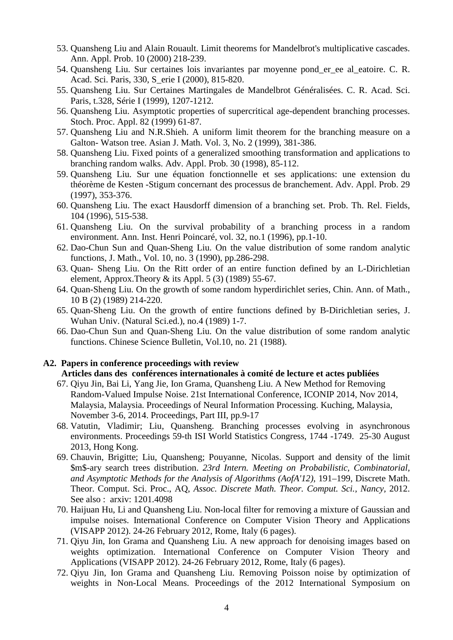- 53. Quansheng Liu and Alain Rouault. Limit theorems for Mandelbrot's multiplicative cascades. Ann. Appl. Prob. 10 (2000) 218-239.
- 54. Quansheng Liu. Sur certaines lois invariantes par moyenne pond\_er\_ee al\_eatoire. C. R. Acad. Sci. Paris, 330, S\_erie I (2000), 815-820.
- 55. Quansheng Liu. Sur Certaines Martingales de Mandelbrot Généralisées. C. R. Acad. Sci. Paris, t.328, Série I (1999), 1207-1212.
- 56. Quansheng Liu. Asymptotic properties of supercritical age-dependent branching processes. Stoch. Proc. Appl. 82 (1999) 61-87.
- 57. Quansheng Liu and N.R.Shieh. A uniform limit theorem for the branching measure on a Galton- Watson tree. Asian J. Math. Vol. 3, No. 2 (1999), 381-386.
- 58. Quansheng Liu. Fixed points of a generalized smoothing transformation and applications to branching random walks. Adv. Appl. Prob. 30 (1998), 85-112.
- 59. Quansheng Liu. Sur une équation fonctionnelle et ses applications: une extension du théorème de Kesten -Stigum concernant des processus de branchement. Adv. Appl. Prob. 29 (1997), 353-376.
- 60. Quansheng Liu. The exact Hausdorff dimension of a branching set. Prob. Th. Rel. Fields, 104 (1996), 515-538.
- 61. Quansheng Liu. On the survival probability of a branching process in a random environment. Ann. Inst. Henri Poincaré, vol. 32, no.1 (1996), pp.1-10.
- 62. Dao-Chun Sun and Quan-Sheng Liu. On the value distribution of some random analytic functions, J. Math., Vol. 10, no. 3 (1990), pp.286-298.
- 63. Quan- Sheng Liu. On the Ritt order of an entire function defined by an L-Dirichletian element, Approx.Theory  $&$  its Appl. 5 (3) (1989) 55-67.
- 64. Quan-Sheng Liu. On the growth of some random hyperdirichlet series, Chin. Ann. of Math., 10 B (2) (1989) 214-220.
- 65. Quan-Sheng Liu. On the growth of entire functions defined by B-Dirichletian series, J. Wuhan Univ. (Natural Sci.ed.), no.4 (1989) 1-7.
- 66. Dao-Chun Sun and Quan-Sheng Liu. On the value distribution of some random analytic functions. Chinese Science Bulletin, Vol.10, no. 21 (1988).

#### **A2. Papers in conference proceedings with review**

## **Articles dans des conférences internationales à comité de lecture et actes publiées**

- 67. Qiyu Jin, Bai Li, Yang Jie, Ion Grama, Quansheng Liu. A New Method for Removing Random-Valued Impulse Noise. 21st International Conference, ICONIP 2014, Nov 2014, Malaysia, Malaysia. Proceedings of Neural Information Processing. Kuching, Malaysia, November 3-6, 2014. Proceedings, Part III, pp.9-17
- 68. Vatutin, Vladimir; Liu, Quansheng. Branching processes evolving in asynchronous environments. Proceedings 59-th ISI World Statistics Congress, 1744 -1749. 25-30 August 2013, Hong Kong.
- 69. Chauvin, Brigitte; Liu, Quansheng; Pouyanne, Nicolas. Support and density of the limit \$m\$-ary search trees distribution. *23rd Intern. Meeting on Probabilistic, Combinatorial,*  and Asymptotic Methods for the Analysis of Algorithms (AofA'12), 191–199, Discrete Math. Theor. Comput. Sci. Proc., AQ, *Assoc. Discrete Math. Theor. Comput. Sci., Nancy,* 2012. See also : arxiv: 1201.4098
- 70. Haijuan Hu, Li and Quansheng Liu. Non-local filter for removing a mixture of Gaussian and impulse noises. International Conference on Computer Vision Theory and Applications (VISAPP 2012). 24-26 February 2012, Rome, Italy (6 pages).
- 71. Qiyu Jin, Ion Grama and Quansheng Liu. A new approach for denoising images based on weights optimization. International Conference on Computer Vision Theory and Applications (VISAPP 2012). 24-26 February 2012, Rome, Italy (6 pages).
- 72. Qiyu Jin, Ion Grama and Quansheng Liu. Removing Poisson noise by optimization of weights in Non-Local Means. Proceedings of the 2012 International Symposium on